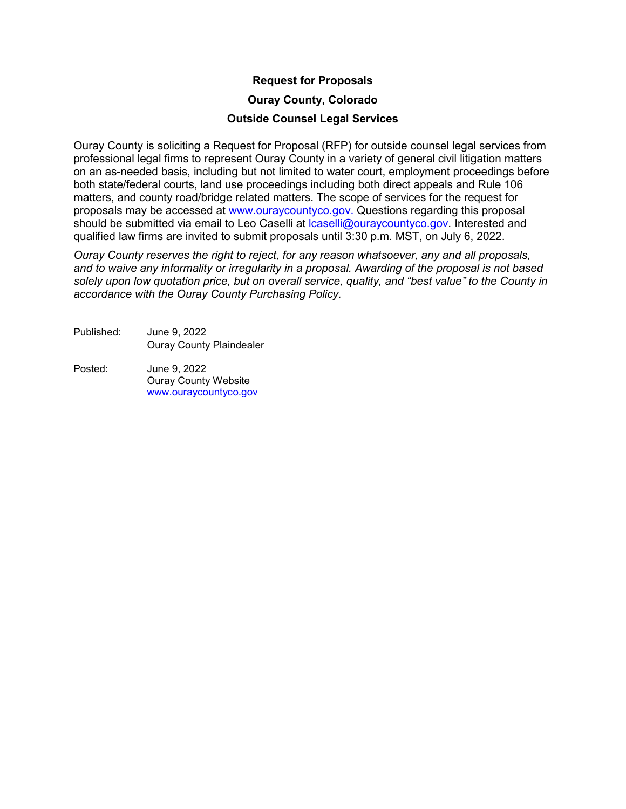#### **Request for Proposals**

#### **Ouray County, Colorado**

#### **Outside Counsel Legal Services**

Ouray County is soliciting a Request for Proposal (RFP) for outside counsel legal services from professional legal firms to represent Ouray County in a variety of general civil litigation matters on an as-needed basis, including but not limited to water court, employment proceedings before both state/federal courts, land use proceedings including both direct appeals and Rule 106 matters, and county road/bridge related matters. The scope of services for the request for proposals may be accessed at www.ouraycountyco.gov. Questions regarding this proposal should be submitted via email to Leo Caselli at [lcaselli@ouraycountyco.gov.](mailto:lcaselli@ouraycountyco.gov) Interested and qualified law firms are invited to submit proposals until 3:30 p.m. MST, on July 6, 2022.

*Ouray County reserves the right to reject, for any reason whatsoever, any and all proposals, and to waive any informality or irregularity in a proposal. Awarding of the proposal is not based solely upon low quotation price, but on overall service, quality, and "best value" to the County in accordance with the Ouray County Purchasing Policy.*

Published: June 9, 2022 Ouray County Plaindealer

Posted: June 9, 2022 Ouray County Website [www.ouraycountyco.gov](http://www.ouraycountyco.gov/)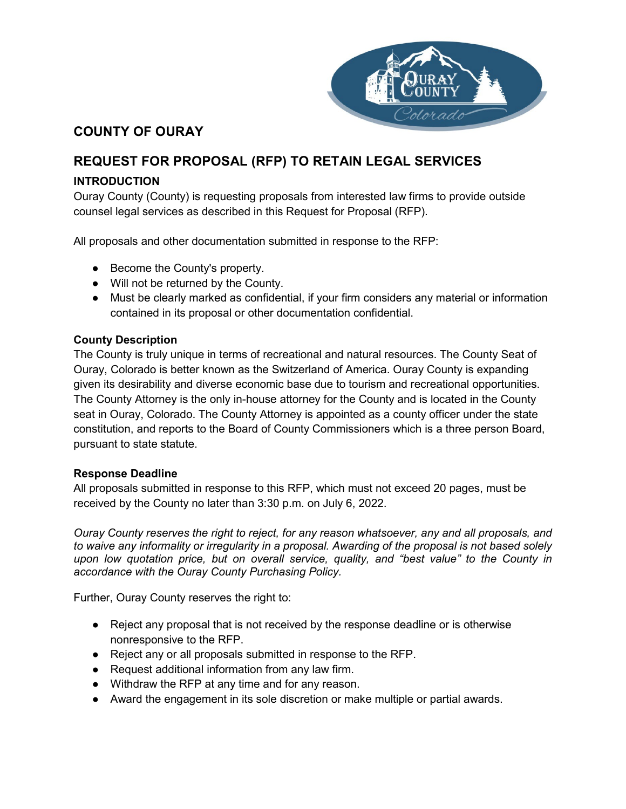

# **COUNTY OF OURAY**

# **REQUEST FOR PROPOSAL (RFP) TO RETAIN LEGAL SERVICES**

# **INTRODUCTION**

Ouray County (County) is requesting proposals from interested law firms to provide outside counsel legal services as described in this Request for Proposal (RFP).

All proposals and other documentation submitted in response to the RFP:

- Become the County's property.
- Will not be returned by the County.
- Must be clearly marked as confidential, if your firm considers any material or information contained in its proposal or other documentation confidential.

## **County Description**

The County is truly unique in terms of recreational and natural resources. The County Seat of Ouray, Colorado is better known as the Switzerland of America. Ouray County is expanding given its desirability and diverse economic base due to tourism and recreational opportunities. The County Attorney is the only in-house attorney for the County and is located in the County seat in Ouray, Colorado. The County Attorney is appointed as a county officer under the state constitution, and reports to the Board of County Commissioners which is a three person Board, pursuant to state statute.

## **Response Deadline**

All proposals submitted in response to this RFP, which must not exceed 20 pages, must be received by the County no later than 3:30 p.m. on July 6, 2022.

*Ouray County reserves the right to reject, for any reason whatsoever, any and all proposals, and to waive any informality or irregularity in a proposal. Awarding of the proposal is not based solely upon low quotation price, but on overall service, quality, and "best value" to the County in accordance with the Ouray County Purchasing Policy.*

Further, Ouray County reserves the right to:

- Reject any proposal that is not received by the response deadline or is otherwise nonresponsive to the RFP.
- Reject any or all proposals submitted in response to the RFP.
- Request additional information from any law firm.
- Withdraw the RFP at any time and for any reason.
- Award the engagement in its sole discretion or make multiple or partial awards.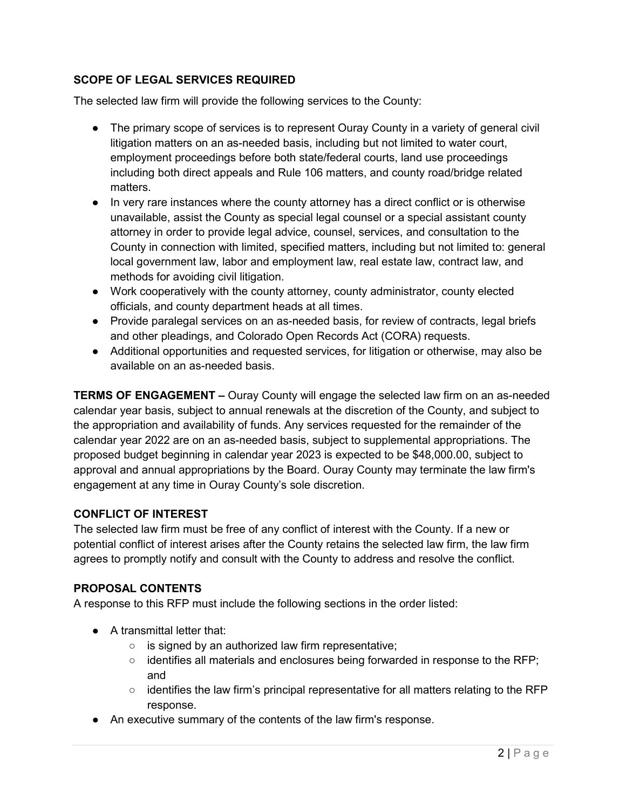# **SCOPE OF LEGAL SERVICES REQUIRED**

The selected law firm will provide the following services to the County:

- The primary scope of services is to represent Ouray County in a variety of general civil litigation matters on an as-needed basis, including but not limited to water court, employment proceedings before both state/federal courts, land use proceedings including both direct appeals and Rule 106 matters, and county road/bridge related matters.
- In very rare instances where the county attorney has a direct conflict or is otherwise unavailable, assist the County as special legal counsel or a special assistant county attorney in order to provide legal advice, counsel, services, and consultation to the County in connection with limited, specified matters, including but not limited to: general local government law, labor and employment law, real estate law, contract law, and methods for avoiding civil litigation.
- Work cooperatively with the county attorney, county administrator, county elected officials, and county department heads at all times.
- Provide paralegal services on an as-needed basis, for review of contracts, legal briefs and other pleadings, and Colorado Open Records Act (CORA) requests.
- Additional opportunities and requested services, for litigation or otherwise, may also be available on an as-needed basis.

**TERMS OF ENGAGEMENT –** Ouray County will engage the selected law firm on an as-needed calendar year basis, subject to annual renewals at the discretion of the County, and subject to the appropriation and availability of funds. Any services requested for the remainder of the calendar year 2022 are on an as-needed basis, subject to supplemental appropriations. The proposed budget beginning in calendar year 2023 is expected to be \$48,000.00, subject to approval and annual appropriations by the Board. Ouray County may terminate the law firm's engagement at any time in Ouray County's sole discretion.

## **CONFLICT OF INTEREST**

The selected law firm must be free of any conflict of interest with the County. If a new or potential conflict of interest arises after the County retains the selected law firm, the law firm agrees to promptly notify and consult with the County to address and resolve the conflict.

## **PROPOSAL CONTENTS**

A response to this RFP must include the following sections in the order listed:

- A transmittal letter that:
	- is signed by an authorized law firm representative;
	- $\circ$  identifies all materials and enclosures being forwarded in response to the RFP; and
	- $\circ$  identifies the law firm's principal representative for all matters relating to the RFP response.
- An executive summary of the contents of the law firm's response.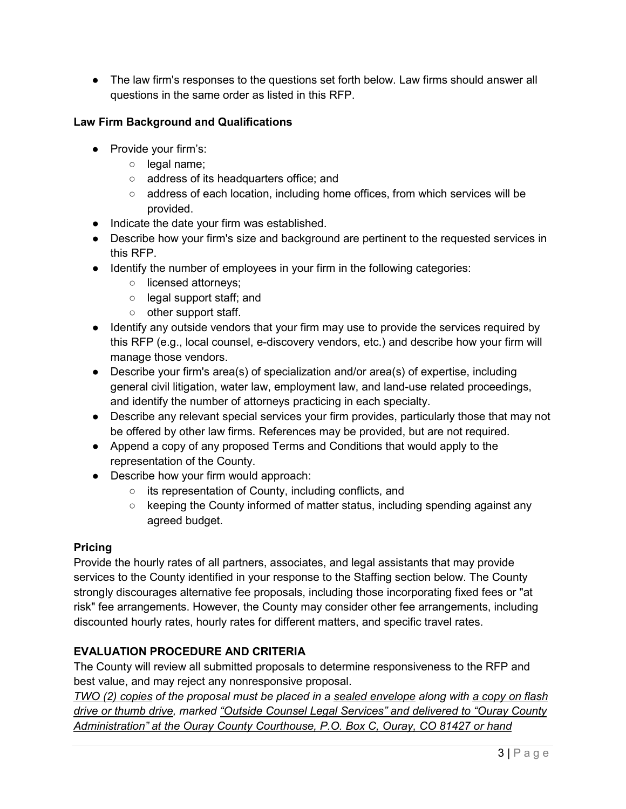• The law firm's responses to the questions set forth below. Law firms should answer all questions in the same order as listed in this RFP.

# **Law Firm Background and Qualifications**

- Provide your firm's:
	- o legal name;
	- address of its headquarters office; and
	- address of each location, including home offices, from which services will be provided.
- Indicate the date your firm was established.
- Describe how your firm's size and background are pertinent to the requested services in this RFP.
- Identify the number of employees in your firm in the following categories:
	- licensed attorneys;
	- legal support staff; and
	- other support staff.
- Identify any outside vendors that your firm may use to provide the services required by this RFP (e.g., local counsel, e-discovery vendors, etc.) and describe how your firm will manage those vendors.
- Describe your firm's area(s) of specialization and/or area(s) of expertise, including general civil litigation, water law, employment law, and land-use related proceedings, and identify the number of attorneys practicing in each specialty.
- Describe any relevant special services your firm provides, particularly those that may not be offered by other law firms. References may be provided, but are not required.
- Append a copy of any proposed Terms and Conditions that would apply to the representation of the County.
- Describe how your firm would approach:
	- its representation of County, including conflicts, and
	- keeping the County informed of matter status, including spending against any agreed budget.

## **Pricing**

Provide the hourly rates of all partners, associates, and legal assistants that may provide services to the County identified in your response to the Staffing section below. The County strongly discourages alternative fee proposals, including those incorporating fixed fees or "at risk" fee arrangements. However, the County may consider other fee arrangements, including discounted hourly rates, hourly rates for different matters, and specific travel rates.

# **EVALUATION PROCEDURE AND CRITERIA**

The County will review all submitted proposals to determine responsiveness to the RFP and best value, and may reject any nonresponsive proposal.

*TWO (2) copies of the proposal must be placed in a sealed envelope along with a copy on flash drive or thumb drive, marked "Outside Counsel Legal Services" and delivered to "Ouray County Administration" at the Ouray County Courthouse, P.O. Box C, Ouray, CO 81427 or hand*